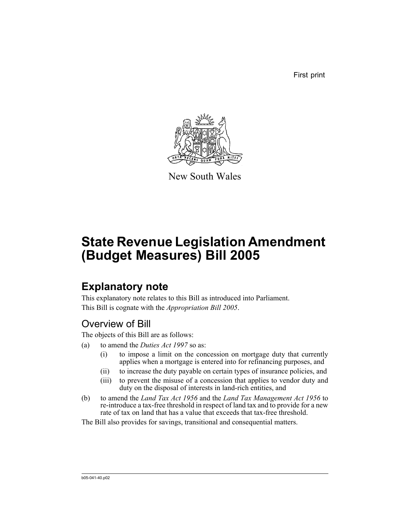First print



New South Wales

# **State Revenue Legislation Amendment (Budget Measures) Bill 2005**

# **Explanatory note**

This explanatory note relates to this Bill as introduced into Parliament. This Bill is cognate with the *Appropriation Bill 2005*.

# Overview of Bill

The objects of this Bill are as follows:

- (a) to amend the *Duties Act 1997* so as:
	- (i) to impose a limit on the concession on mortgage duty that currently applies when a mortgage is entered into for refinancing purposes, and
	- (ii) to increase the duty payable on certain types of insurance policies, and
	- (iii) to prevent the misuse of a concession that applies to vendor duty and duty on the disposal of interests in land-rich entities, and
- (b) to amend the *Land Tax Act 1956* and the *Land Tax Management Act 1956* to re-introduce a tax-free threshold in respect of land tax and to provide for a new rate of tax on land that has a value that exceeds that tax-free threshold.

The Bill also provides for savings, transitional and consequential matters.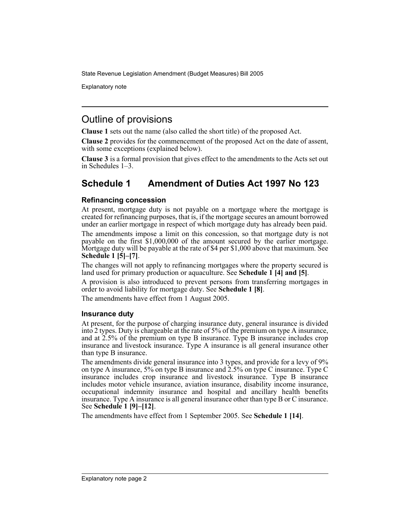Explanatory note

## Outline of provisions

**Clause 1** sets out the name (also called the short title) of the proposed Act.

**Clause 2** provides for the commencement of the proposed Act on the date of assent, with some exceptions (explained below).

**Clause 3** is a formal provision that gives effect to the amendments to the Acts set out in Schedules 1–3.

## **Schedule 1 Amendment of Duties Act 1997 No 123**

### **Refinancing concession**

At present, mortgage duty is not payable on a mortgage where the mortgage is created for refinancing purposes, that is, if the mortgage secures an amount borrowed under an earlier mortgage in respect of which mortgage duty has already been paid.

The amendments impose a limit on this concession, so that mortgage duty is not payable on the first \$1,000,000 of the amount secured by the earlier mortgage. Mortgage duty will be payable at the rate of \$4 per \$1,000 above that maximum. See **Schedule 1 [5]–[7]**.

The changes will not apply to refinancing mortgages where the property secured is land used for primary production or aquaculture. See **Schedule 1 [4] and [5]**.

A provision is also introduced to prevent persons from transferring mortgages in order to avoid liability for mortgage duty. See **Schedule 1 [8]**.

The amendments have effect from 1 August 2005.

### **Insurance duty**

At present, for the purpose of charging insurance duty, general insurance is divided into 2 types. Duty is chargeable at the rate of 5% of the premium on type A insurance, and at 2.5% of the premium on type B insurance. Type B insurance includes crop insurance and livestock insurance. Type A insurance is all general insurance other than type B insurance.

The amendments divide general insurance into 3 types, and provide for a levy of 9% on type A insurance, 5% on type B insurance and 2.5% on type C insurance. Type C insurance includes crop insurance and livestock insurance. Type B insurance includes motor vehicle insurance, aviation insurance, disability income insurance, occupational indemnity insurance and hospital and ancillary health benefits insurance. Type A insurance is all general insurance other than type B or C insurance. See **Schedule 1 [9]–[12]**.

The amendments have effect from 1 September 2005. See **Schedule 1 [14]**.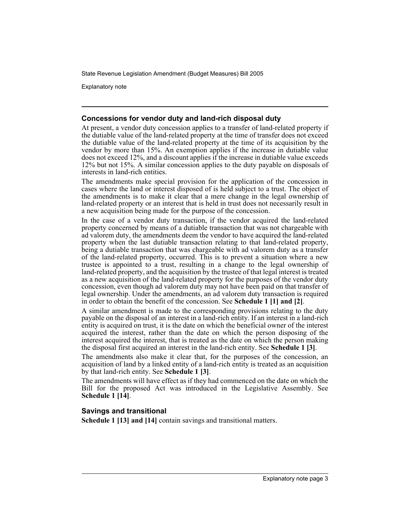Explanatory note

### **Concessions for vendor duty and land-rich disposal duty**

At present, a vendor duty concession applies to a transfer of land-related property if the dutiable value of the land-related property at the time of transfer does not exceed the dutiable value of the land-related property at the time of its acquisition by the vendor by more than 15%. An exemption applies if the increase in dutiable value does not exceed 12%, and a discount applies if the increase in dutiable value exceeds 12% but not 15%. A similar concession applies to the duty payable on disposals of interests in land-rich entities.

The amendments make special provision for the application of the concession in cases where the land or interest disposed of is held subject to a trust. The object of the amendments is to make it clear that a mere change in the legal ownership of land-related property or an interest that is held in trust does not necessarily result in a new acquisition being made for the purpose of the concession.

In the case of a vendor duty transaction, if the vendor acquired the land-related property concerned by means of a dutiable transaction that was not chargeable with ad valorem duty, the amendments deem the vendor to have acquired the land-related property when the last dutiable transaction relating to that land-related property, being a dutiable transaction that was chargeable with ad valorem duty as a transfer of the land-related property, occurred. This is to prevent a situation where a new trustee is appointed to a trust, resulting in a change to the legal ownership of land-related property, and the acquisition by the trustee of that legal interest is treated as a new acquisition of the land-related property for the purposes of the vendor duty concession, even though ad valorem duty may not have been paid on that transfer of legal ownership. Under the amendments, an ad valorem duty transaction is required in order to obtain the benefit of the concession. See **Schedule 1 [1] and [2]**.

A similar amendment is made to the corresponding provisions relating to the duty payable on the disposal of an interest in a land-rich entity. If an interest in a land-rich entity is acquired on trust, it is the date on which the beneficial owner of the interest acquired the interest, rather than the date on which the person disposing of the interest acquired the interest, that is treated as the date on which the person making the disposal first acquired an interest in the land-rich entity. See **Schedule 1 [3]**.

The amendments also make it clear that, for the purposes of the concession, an acquisition of land by a linked entity of a land-rich entity is treated as an acquisition by that land-rich entity. See **Schedule 1 [3]**.

The amendments will have effect as if they had commenced on the date on which the Bill for the proposed Act was introduced in the Legislative Assembly. See **Schedule 1 [14]**.

### **Savings and transitional**

**Schedule 1 [13] and [14]** contain savings and transitional matters.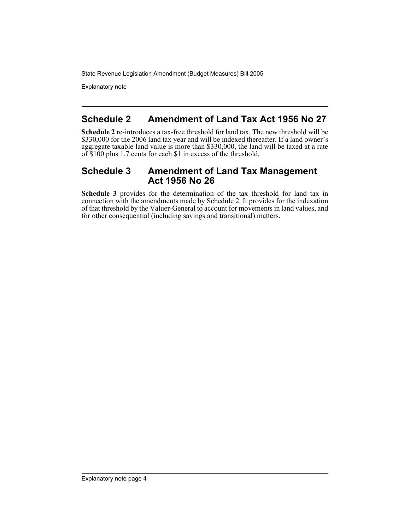Explanatory note

## **Schedule 2 Amendment of Land Tax Act 1956 No 27**

**Schedule 2** re-introduces a tax-free threshold for land tax. The new threshold will be \$330,000 for the 2006 land tax year and will be indexed thereafter. If a land owner's aggregate taxable land value is more than \$330,000, the land will be taxed at a rate of \$100 plus 1.7 cents for each \$1 in excess of the threshold.

### **Schedule 3 Amendment of Land Tax Management Act 1956 No 26**

**Schedule 3** provides for the determination of the tax threshold for land tax in connection with the amendments made by Schedule 2. It provides for the indexation of that threshold by the Valuer-General to account for movements in land values, and for other consequential (including savings and transitional) matters.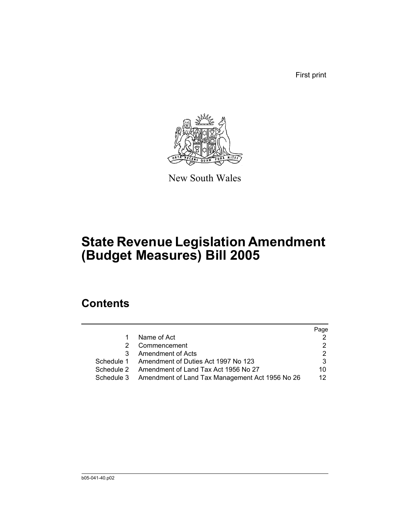First print



New South Wales

# **State Revenue Legislation Amendment (Budget Measures) Bill 2005**

# **Contents**

|    |                                                            | Page |
|----|------------------------------------------------------------|------|
| 1. | Name of Act                                                |      |
|    | Commencement                                               |      |
| 3  | Amendment of Acts                                          | 2    |
|    | Schedule 1 Amendment of Duties Act 1997 No 123             |      |
|    | Schedule 2 Amendment of Land Tax Act 1956 No 27            | 10   |
|    | Schedule 3 Amendment of Land Tax Management Act 1956 No 26 | 12   |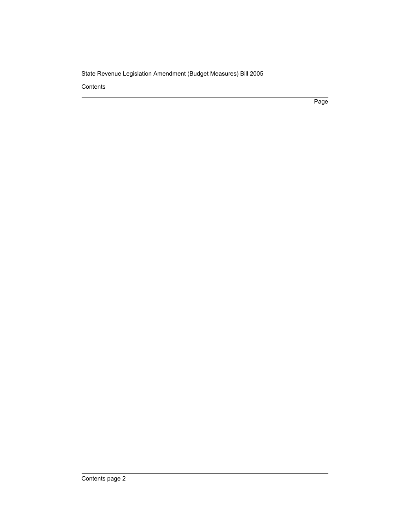**Contents** 

Page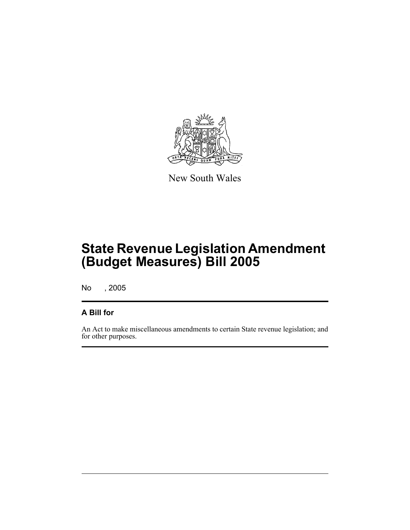

New South Wales

No , 2005

### **A Bill for**

An Act to make miscellaneous amendments to certain State revenue legislation; and for other purposes.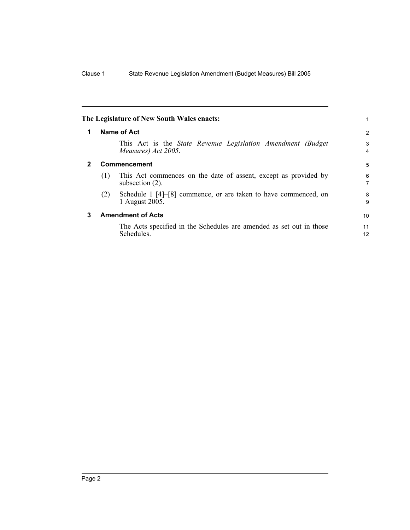|                  |     | The Legislature of New South Wales enacts:                                                  |                     |  |  |
|------------------|-----|---------------------------------------------------------------------------------------------|---------------------|--|--|
| Name of Act<br>1 |     |                                                                                             |                     |  |  |
|                  |     | This Act is the <i>State Revenue Legislation Amendment (Budget</i> )<br>Measures) Act 2005. | 3<br>$\overline{4}$ |  |  |
|                  |     | <b>Commencement</b>                                                                         | 5                   |  |  |
|                  | (1) | This Act commences on the date of assent, except as provided by<br>subsection $(2)$ .       | 6<br>$\overline{7}$ |  |  |
|                  | (2) | Schedule 1 [4]–[8] commence, or are taken to have commenced, on<br>1 August 2005.           | 8<br>9              |  |  |
| 3                |     | <b>Amendment of Acts</b>                                                                    | 10                  |  |  |
|                  |     | The Acts specified in the Schedules are amended as set out in those<br>Schedules.           | 11<br>12            |  |  |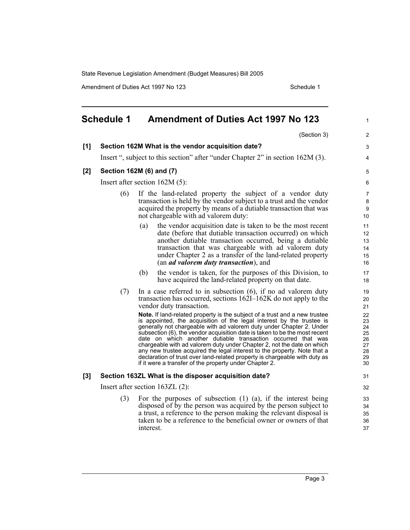Amendment of Duties Act 1997 No 123 Schedule 1

|       | <b>Schedule 1</b> | <b>Amendment of Duties Act 1997 No 123</b>                                                                                                                                                                                                                                                                                                                                                                                                                                                                                                                                                                                                                              | $\mathbf{1}$                                       |
|-------|-------------------|-------------------------------------------------------------------------------------------------------------------------------------------------------------------------------------------------------------------------------------------------------------------------------------------------------------------------------------------------------------------------------------------------------------------------------------------------------------------------------------------------------------------------------------------------------------------------------------------------------------------------------------------------------------------------|----------------------------------------------------|
|       |                   | (Section 3)                                                                                                                                                                                                                                                                                                                                                                                                                                                                                                                                                                                                                                                             | 2                                                  |
| [1]   |                   | Section 162M What is the vendor acquisition date?                                                                                                                                                                                                                                                                                                                                                                                                                                                                                                                                                                                                                       | 3                                                  |
|       |                   | Insert ", subject to this section" after "under Chapter 2" in section 162M (3).                                                                                                                                                                                                                                                                                                                                                                                                                                                                                                                                                                                         | 4                                                  |
| $[2]$ |                   | Section 162M (6) and (7)                                                                                                                                                                                                                                                                                                                                                                                                                                                                                                                                                                                                                                                | 5                                                  |
|       |                   | Insert after section $162M(5)$ :                                                                                                                                                                                                                                                                                                                                                                                                                                                                                                                                                                                                                                        | 6                                                  |
|       | (6)               | If the land-related property the subject of a vendor duty<br>transaction is held by the vendor subject to a trust and the vendor<br>acquired the property by means of a dutiable transaction that was<br>not chargeable with ad valorem duty:                                                                                                                                                                                                                                                                                                                                                                                                                           | $\overline{7}$<br>8<br>9<br>10                     |
|       |                   | the vendor acquisition date is taken to be the most recent<br>(a)<br>date (before that dutiable transaction occurred) on which<br>another dutiable transaction occurred, being a dutiable<br>transaction that was chargeable with ad valorem duty<br>under Chapter 2 as a transfer of the land-related property<br>(an <i>ad valorem duty transaction</i> ), and                                                                                                                                                                                                                                                                                                        | 11<br>12 <sup>2</sup><br>13<br>14<br>15<br>16      |
|       |                   | the vendor is taken, for the purposes of this Division, to<br>(b)<br>have acquired the land-related property on that date.                                                                                                                                                                                                                                                                                                                                                                                                                                                                                                                                              | 17<br>18                                           |
|       | (7)               | In a case referred to in subsection $(6)$ , if no ad valorem duty<br>transaction has occurred, sections 162I-162K do not apply to the<br>vendor duty transaction.                                                                                                                                                                                                                                                                                                                                                                                                                                                                                                       | 19<br>20<br>21                                     |
|       |                   | Note. If land-related property is the subject of a trust and a new trustee<br>is appointed, the acquisition of the legal interest by the trustee is<br>generally not chargeable with ad valorem duty under Chapter 2. Under<br>subsection (6), the vendor acquisition date is taken to be the most recent<br>date on which another dutiable transaction occurred that was<br>chargeable with ad valorem duty under Chapter 2, not the date on which<br>any new trustee acquired the legal interest to the property. Note that a<br>declaration of trust over land-related property is chargeable with duty as<br>if it were a transfer of the property under Chapter 2. | 22<br>23<br>24<br>25<br>26<br>27<br>28<br>29<br>30 |
| [3]   |                   | Section 163ZL What is the disposer acquisition date?                                                                                                                                                                                                                                                                                                                                                                                                                                                                                                                                                                                                                    | 31                                                 |
|       |                   | Insert after section $163ZL(2)$ :                                                                                                                                                                                                                                                                                                                                                                                                                                                                                                                                                                                                                                       | 32                                                 |
|       | (3)               | For the purposes of subsection $(1)$ $(a)$ , if the interest being<br>disposed of by the person was acquired by the person subject to<br>a trust, a reference to the person making the relevant disposal is<br>taken to be a reference to the beneficial owner or owners of that<br>interest.                                                                                                                                                                                                                                                                                                                                                                           | 33<br>34<br>35<br>36<br>37                         |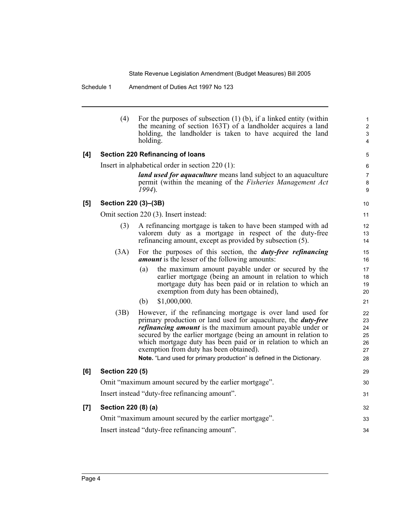Schedule 1 Amendment of Duties Act 1997 No 123

|     | (4)                                                          | For the purposes of subsection $(1)$ (b), if a linked entity (within<br>the meaning of section 163T) of a landholder acquires a land<br>holding, the landholder is taken to have acquired the land<br>holding.                                                                                                                                                                                                                                                         | 1<br>$\overline{c}$<br>3<br>4          |  |  |
|-----|--------------------------------------------------------------|------------------------------------------------------------------------------------------------------------------------------------------------------------------------------------------------------------------------------------------------------------------------------------------------------------------------------------------------------------------------------------------------------------------------------------------------------------------------|----------------------------------------|--|--|
| [4] |                                                              | Section 220 Refinancing of loans                                                                                                                                                                                                                                                                                                                                                                                                                                       | 5                                      |  |  |
|     |                                                              | Insert in alphabetical order in section $220(1)$ :                                                                                                                                                                                                                                                                                                                                                                                                                     | 6                                      |  |  |
|     |                                                              | <i>land used for aquaculture</i> means land subject to an aquaculture<br>permit (within the meaning of the <i>Fisheries Management Act</i>                                                                                                                                                                                                                                                                                                                             | $\boldsymbol{7}$<br>8                  |  |  |
|     |                                                              | $1994$ ).                                                                                                                                                                                                                                                                                                                                                                                                                                                              | 9                                      |  |  |
| [5] | Section 220 (3)-(3B)                                         |                                                                                                                                                                                                                                                                                                                                                                                                                                                                        | 10                                     |  |  |
|     |                                                              | Omit section 220 (3). Insert instead:                                                                                                                                                                                                                                                                                                                                                                                                                                  | 11                                     |  |  |
|     | (3)                                                          | A refinancing mortgage is taken to have been stamped with ad<br>valorem duty as a mortgage in respect of the duty-free<br>refinancing amount, except as provided by subsection (5).                                                                                                                                                                                                                                                                                    | 12<br>13<br>14                         |  |  |
|     | (3A)                                                         | For the purposes of this section, the <i>duty-free refinancing</i><br><i>amount</i> is the lesser of the following amounts:                                                                                                                                                                                                                                                                                                                                            | 15<br>16                               |  |  |
|     |                                                              | the maximum amount payable under or secured by the<br>(a)<br>earlier mortgage (being an amount in relation to which<br>mortgage duty has been paid or in relation to which an<br>exemption from duty has been obtained),                                                                                                                                                                                                                                               | 17<br>18<br>19<br>20                   |  |  |
|     |                                                              | \$1,000,000.<br>(b)                                                                                                                                                                                                                                                                                                                                                                                                                                                    | 21                                     |  |  |
|     | (3B)                                                         | However, if the refinancing mortgage is over land used for<br>primary production or land used for aquaculture, the <b><i>duty-free</i></b><br><i>refinancing amount</i> is the maximum amount payable under or<br>secured by the earlier mortgage (being an amount in relation to<br>which mortgage duty has been paid or in relation to which an<br>exemption from duty has been obtained).<br>Note. "Land used for primary production" is defined in the Dictionary. | 22<br>23<br>24<br>25<br>26<br>27<br>28 |  |  |
| [6] | <b>Section 220 (5)</b>                                       |                                                                                                                                                                                                                                                                                                                                                                                                                                                                        | 29                                     |  |  |
|     | Omit "maximum amount secured by the earlier mortgage".<br>30 |                                                                                                                                                                                                                                                                                                                                                                                                                                                                        |                                        |  |  |
|     |                                                              | Insert instead "duty-free refinancing amount".                                                                                                                                                                                                                                                                                                                                                                                                                         | 31                                     |  |  |
| [7] | Section 220 (8) (a)                                          |                                                                                                                                                                                                                                                                                                                                                                                                                                                                        | 32                                     |  |  |
|     |                                                              | Omit "maximum amount secured by the earlier mortgage".                                                                                                                                                                                                                                                                                                                                                                                                                 | 33                                     |  |  |
|     |                                                              | Insert instead "duty-free refinancing amount".                                                                                                                                                                                                                                                                                                                                                                                                                         | 34                                     |  |  |
|     |                                                              |                                                                                                                                                                                                                                                                                                                                                                                                                                                                        |                                        |  |  |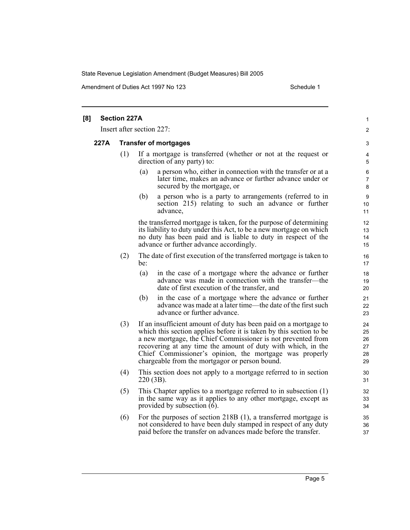Amendment of Duties Act 1997 No 123 Schedule 1

| [8]  | <b>Section 227A</b> |                                                                                                                                                                                                                                                                                                                                                                                      | 1                                |
|------|---------------------|--------------------------------------------------------------------------------------------------------------------------------------------------------------------------------------------------------------------------------------------------------------------------------------------------------------------------------------------------------------------------------------|----------------------------------|
|      |                     | Insert after section 227:                                                                                                                                                                                                                                                                                                                                                            | $\overline{c}$                   |
| 227A |                     | <b>Transfer of mortgages</b>                                                                                                                                                                                                                                                                                                                                                         | 3                                |
|      | (1)                 | If a mortgage is transferred (whether or not at the request or<br>direction of any party) to:                                                                                                                                                                                                                                                                                        | 4<br>5                           |
|      |                     | (a)<br>a person who, either in connection with the transfer or at a<br>later time, makes an advance or further advance under or<br>secured by the mortgage, or                                                                                                                                                                                                                       | 6<br>7<br>8                      |
|      |                     | a person who is a party to arrangements (referred to in<br>(b)<br>section 215) relating to such an advance or further<br>advance,                                                                                                                                                                                                                                                    | 9<br>10<br>11                    |
|      |                     | the transferred mortgage is taken, for the purpose of determining<br>its liability to duty under this Act, to be a new mortgage on which<br>no duty has been paid and is liable to duty in respect of the<br>advance or further advance accordingly.                                                                                                                                 | 12<br>13<br>14<br>15             |
|      | (2)                 | The date of first execution of the transferred mortgage is taken to<br>be:                                                                                                                                                                                                                                                                                                           | 16<br>17                         |
|      |                     | (a)<br>in the case of a mortgage where the advance or further<br>advance was made in connection with the transfer—the<br>date of first execution of the transfer, and                                                                                                                                                                                                                | 18<br>19<br>20                   |
|      |                     | (b)<br>in the case of a mortgage where the advance or further<br>advance was made at a later time—the date of the first such<br>advance or further advance.                                                                                                                                                                                                                          | 21<br>22<br>23                   |
|      | (3)                 | If an insufficient amount of duty has been paid on a mortgage to<br>which this section applies before it is taken by this section to be<br>a new mortgage, the Chief Commissioner is not prevented from<br>recovering at any time the amount of duty with which, in the<br>Chief Commissioner's opinion, the mortgage was properly<br>chargeable from the mortgagor or person bound. | 24<br>25<br>26<br>27<br>28<br>29 |
|      | (4)                 | This section does not apply to a mortgage referred to in section<br>$220(3B)$ .                                                                                                                                                                                                                                                                                                      | 30<br>31                         |
|      | (5)                 | This Chapter applies to a mortgage referred to in subsection (1)<br>in the same way as it applies to any other mortgage, except as<br>provided by subsection $(6)$ .                                                                                                                                                                                                                 | 32<br>33<br>34                   |
|      | (6)                 | For the purposes of section 218B (1), a transferred mortgage is<br>not considered to have been duly stamped in respect of any duty<br>paid before the transfer on advances made before the transfer.                                                                                                                                                                                 | 35<br>36<br>37                   |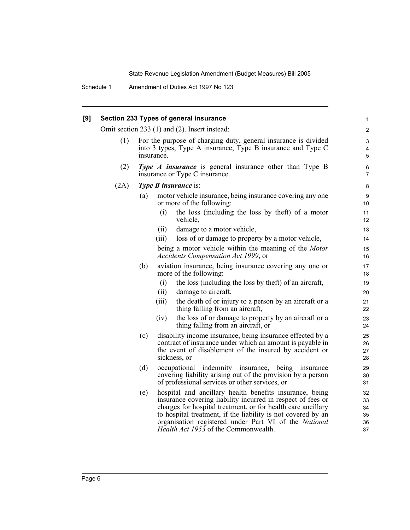Schedule 1 Amendment of Duties Act 1997 No 123

| [9] |      |     |            | Section 233 Types of general insurance                                                                                                                                                                                                                                                                                                                  | 1                                |
|-----|------|-----|------------|---------------------------------------------------------------------------------------------------------------------------------------------------------------------------------------------------------------------------------------------------------------------------------------------------------------------------------------------------------|----------------------------------|
|     |      |     |            | Omit section 233 (1) and (2). Insert instead:                                                                                                                                                                                                                                                                                                           | $\overline{\mathbf{c}}$          |
|     | (1)  |     | insurance. | For the purpose of charging duty, general insurance is divided<br>into 3 types, Type A insurance, Type B insurance and Type C                                                                                                                                                                                                                           | 3<br>4<br>5                      |
|     | (2)  |     |            | <b>Type A insurance</b> is general insurance other than Type B<br>insurance or Type C insurance.                                                                                                                                                                                                                                                        | 6<br>7                           |
|     | (2A) |     |            | <b>Type B insurance is:</b>                                                                                                                                                                                                                                                                                                                             | 8                                |
|     |      | (a) |            | motor vehicle insurance, being insurance covering any one<br>or more of the following:                                                                                                                                                                                                                                                                  | 9<br>10                          |
|     |      |     | (i)        | the loss (including the loss by the ft) of a motor<br>vehicle,                                                                                                                                                                                                                                                                                          | 11<br>12                         |
|     |      |     | (ii)       | damage to a motor vehicle,                                                                                                                                                                                                                                                                                                                              | 13                               |
|     |      |     | (iii)      | loss of or damage to property by a motor vehicle,                                                                                                                                                                                                                                                                                                       | 14                               |
|     |      |     |            | being a motor vehicle within the meaning of the Motor<br>Accidents Compensation Act 1999, or                                                                                                                                                                                                                                                            | 15<br>16                         |
|     |      | (b) |            | aviation insurance, being insurance covering any one or<br>more of the following:                                                                                                                                                                                                                                                                       | 17<br>18                         |
|     |      |     | (i)        | the loss (including the loss by theft) of an aircraft,                                                                                                                                                                                                                                                                                                  | 19                               |
|     |      |     | (ii)       | damage to aircraft,                                                                                                                                                                                                                                                                                                                                     | 20                               |
|     |      |     | (iii)      | the death of or injury to a person by an aircraft or a<br>thing falling from an aircraft,                                                                                                                                                                                                                                                               | 21<br>22                         |
|     |      |     | (iv)       | the loss of or damage to property by an aircraft or a<br>thing falling from an aircraft, or                                                                                                                                                                                                                                                             | 23<br>24                         |
|     |      | (c) |            | disability income insurance, being insurance effected by a<br>contract of insurance under which an amount is payable in<br>the event of disablement of the insured by accident or<br>sickness, or                                                                                                                                                       | 25<br>26<br>27<br>28             |
|     |      | (d) |            | occupational indemnity insurance, being insurance<br>covering liability arising out of the provision by a person<br>of professional services or other services, or                                                                                                                                                                                      | 29<br>30<br>31                   |
|     |      | (e) |            | hospital and ancillary health benefits insurance, being<br>insurance covering liability incurred in respect of fees or<br>charges for hospital treatment, or for health care ancillary<br>to hospital treatment, if the liability is not covered by an<br>organisation registered under Part VI of the National<br>Health Act 1953 of the Commonwealth. | 32<br>33<br>34<br>35<br>36<br>37 |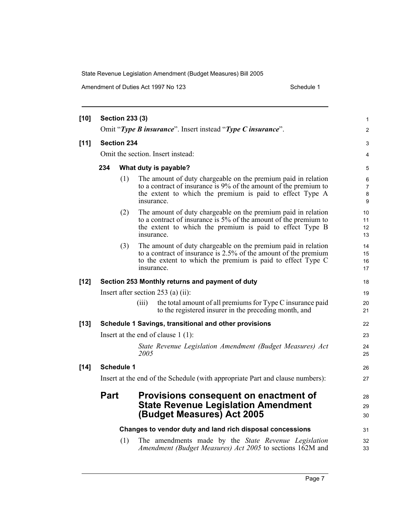Amendment of Duties Act 1997 No 123 Schedule 1

| $[10]$ |             | <b>Section 233 (3)</b> |            |                                                                                                                                                                                                 | 1                    |
|--------|-------------|------------------------|------------|-------------------------------------------------------------------------------------------------------------------------------------------------------------------------------------------------|----------------------|
|        |             |                        |            | Omit "Type B insurance". Insert instead "Type C insurance".                                                                                                                                     | $\overline{c}$       |
| $[11]$ |             | <b>Section 234</b>     |            |                                                                                                                                                                                                 | 3                    |
|        |             |                        |            | Omit the section. Insert instead:                                                                                                                                                               | 4                    |
|        | 234         |                        |            | What duty is payable?                                                                                                                                                                           | 5                    |
|        |             | (1)                    | insurance. | The amount of duty chargeable on the premium paid in relation<br>to a contract of insurance is 9% of the amount of the premium to<br>the extent to which the premium is paid to effect Type A   | 6<br>7<br>8<br>9     |
|        |             | (2)                    | insurance. | The amount of duty chargeable on the premium paid in relation<br>to a contract of insurance is 5% of the amount of the premium to<br>the extent to which the premium is paid to effect Type B   | 10<br>11<br>12<br>13 |
|        |             | (3)                    | insurance. | The amount of duty chargeable on the premium paid in relation<br>to a contract of insurance is 2.5% of the amount of the premium<br>to the extent to which the premium is paid to effect Type C | 14<br>15<br>16<br>17 |
| $[12]$ |             |                        |            | Section 253 Monthly returns and payment of duty                                                                                                                                                 | 18                   |
|        |             |                        |            | Insert after section $253$ (a) (ii):                                                                                                                                                            | 19                   |
|        |             |                        | (iii)      | the total amount of all premiums for Type C insurance paid<br>to the registered insurer in the preceding month, and                                                                             | 20<br>21             |
| $[13]$ |             |                        |            | Schedule 1 Savings, transitional and other provisions                                                                                                                                           | 22                   |
|        |             |                        |            | Insert at the end of clause $1(1)$ :                                                                                                                                                            | 23                   |
|        |             |                        | 2005       | State Revenue Legislation Amendment (Budget Measures) Act                                                                                                                                       | 24<br>25             |
| $[14]$ |             | <b>Schedule 1</b>      |            |                                                                                                                                                                                                 | 26                   |
|        |             |                        |            | Insert at the end of the Schedule (with appropriate Part and clause numbers):                                                                                                                   | 27                   |
|        | <b>Part</b> |                        |            | Provisions consequent on enactment of<br><b>State Revenue Legislation Amendment</b><br>(Budget Measures) Act 2005                                                                               | 28<br>29<br>30       |
|        |             |                        |            | Changes to vendor duty and land rich disposal concessions                                                                                                                                       | 31                   |
|        |             | (1)                    |            | The amendments made by the State Revenue Legislation<br>Amendment (Budget Measures) Act 2005 to sections 162M and                                                                               | 32<br>33             |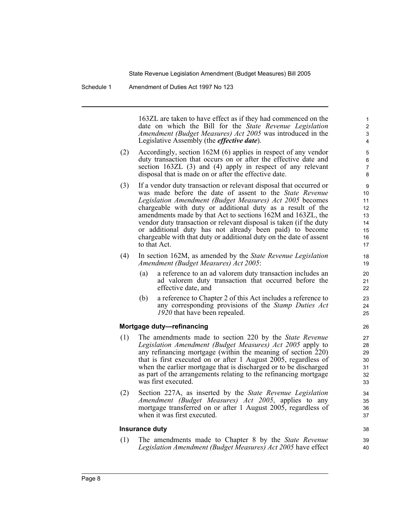Schedule 1 Amendment of Duties Act 1997 No 123

163ZL are taken to have effect as if they had commenced on the date on which the Bill for the *State Revenue Legislation Amendment (Budget Measures) Act 2005* was introduced in the Legislative Assembly (the *effective date*).

38 39 40

- (2) Accordingly, section 162M (6) applies in respect of any vendor duty transaction that occurs on or after the effective date and section 163ZL (3) and (4) apply in respect of any relevant disposal that is made on or after the effective date.
- (3) If a vendor duty transaction or relevant disposal that occurred or was made before the date of assent to the *State Revenue Legislation Amendment (Budget Measures) Act 2005* becomes chargeable with duty or additional duty as a result of the amendments made by that Act to sections 162M and 163ZL, the vendor duty transaction or relevant disposal is taken (if the duty or additional duty has not already been paid) to become chargeable with that duty or additional duty on the date of assent to that Act.
- (4) In section 162M, as amended by the *State Revenue Legislation Amendment (Budget Measures) Act 2005*:
	- (a) a reference to an ad valorem duty transaction includes an ad valorem duty transaction that occurred before the effective date, and
	- (b) a reference to Chapter 2 of this Act includes a reference to any corresponding provisions of the *Stamp Duties Act 1920* that have been repealed.

#### **Mortgage duty—refinancing**

- (1) The amendments made to section 220 by the *State Revenue Legislation Amendment (Budget Measures) Act 2005* apply to any refinancing mortgage (within the meaning of section 220) that is first executed on or after 1 August 2005, regardless of when the earlier mortgage that is discharged or to be discharged as part of the arrangements relating to the refinancing mortgage was first executed.
- (2) Section 227A, as inserted by the *State Revenue Legislation Amendment (Budget Measures) Act 2005*, applies to any mortgage transferred on or after 1 August 2005, regardless of when it was first executed.

#### **Insurance duty**

(1) The amendments made to Chapter 8 by the *State Revenue Legislation Amendment (Budget Measures) Act 2005* have effect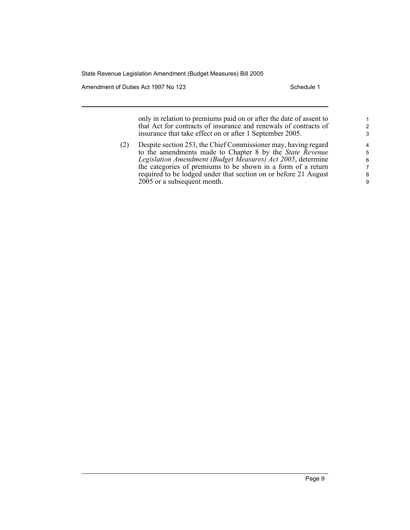Amendment of Duties Act 1997 No 123 Schedule 1

only in relation to premiums paid on or after the date of assent to that Act for contracts of insurance and renewals of contracts of insurance that take effect on or after 1 September 2005.

(2) Despite section 253, the Chief Commissioner may, having regard to the amendments made to Chapter 8 by the *State Revenue Legislation Amendment (Budget Measures) Act 2005*, determine the categories of premiums to be shown in a form of a return required to be lodged under that section on or before 21 August 2005 or a subsequent month.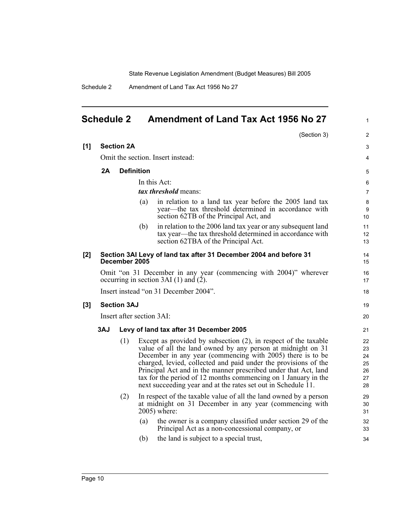1

Schedule 2 Amendment of Land Tax Act 1956 No 27

### **Schedule 2 Amendment of Land Tax Act 1956 No 27**

|     |     |                           |                   | (Section 3)                                                                                                                                                                                                                                                                                                                                                                                                                                                           | 2                                      |
|-----|-----|---------------------------|-------------------|-----------------------------------------------------------------------------------------------------------------------------------------------------------------------------------------------------------------------------------------------------------------------------------------------------------------------------------------------------------------------------------------------------------------------------------------------------------------------|----------------------------------------|
| [1] |     | <b>Section 2A</b>         |                   |                                                                                                                                                                                                                                                                                                                                                                                                                                                                       | 3                                      |
|     |     |                           |                   | Omit the section. Insert instead:                                                                                                                                                                                                                                                                                                                                                                                                                                     | 4                                      |
|     | 2A  |                           | <b>Definition</b> |                                                                                                                                                                                                                                                                                                                                                                                                                                                                       | 5                                      |
|     |     |                           |                   | In this Act:                                                                                                                                                                                                                                                                                                                                                                                                                                                          | 6                                      |
|     |     |                           |                   | tax threshold means:                                                                                                                                                                                                                                                                                                                                                                                                                                                  | $\overline{7}$                         |
|     |     |                           | (a)               | in relation to a land tax year before the 2005 land tax<br>year—the tax threshold determined in accordance with<br>section 62TB of the Principal Act, and                                                                                                                                                                                                                                                                                                             | 8<br>9<br>10                           |
|     |     |                           | (b)               | in relation to the 2006 land tax year or any subsequent land<br>tax year—the tax threshold determined in accordance with<br>section 62TBA of the Principal Act.                                                                                                                                                                                                                                                                                                       | 11<br>12<br>13                         |
| [2] |     | December 2005             |                   | Section 3AI Levy of land tax after 31 December 2004 and before 31                                                                                                                                                                                                                                                                                                                                                                                                     | 14<br>15                               |
|     |     |                           |                   | Omit "on 31 December in any year (commencing with 2004)" wherever<br>occurring in section 3AI $(1)$ and $(2)$ .                                                                                                                                                                                                                                                                                                                                                       | 16<br>17                               |
|     |     |                           |                   | Insert instead "on 31 December 2004".                                                                                                                                                                                                                                                                                                                                                                                                                                 | 18                                     |
| [3] |     | <b>Section 3AJ</b>        |                   |                                                                                                                                                                                                                                                                                                                                                                                                                                                                       | 19                                     |
|     |     | Insert after section 3AI: |                   |                                                                                                                                                                                                                                                                                                                                                                                                                                                                       | 20                                     |
|     | 3AJ |                           |                   | Levy of land tax after 31 December 2005                                                                                                                                                                                                                                                                                                                                                                                                                               | 21                                     |
|     |     | (1)                       |                   | Except as provided by subsection (2), in respect of the taxable<br>value of all the land owned by any person at midnight on 31<br>December in any year (commencing with 2005) there is to be<br>charged, levied, collected and paid under the provisions of the<br>Principal Act and in the manner prescribed under that Act, land<br>tax for the period of 12 months commencing on 1 January in the<br>next succeeding year and at the rates set out in Schedule 11. | 22<br>23<br>24<br>25<br>26<br>27<br>28 |
|     |     | (2)                       |                   | In respect of the taxable value of all the land owned by a person<br>at midnight on 31 December in any year (commencing with<br>2005) where:                                                                                                                                                                                                                                                                                                                          | 29<br>30<br>31                         |
|     |     |                           | (a)<br>(b)        | the owner is a company classified under section 29 of the<br>Principal Act as a non-concessional company, or<br>the land is subject to a special trust,                                                                                                                                                                                                                                                                                                               | 32<br>33<br>34                         |
|     |     |                           |                   |                                                                                                                                                                                                                                                                                                                                                                                                                                                                       |                                        |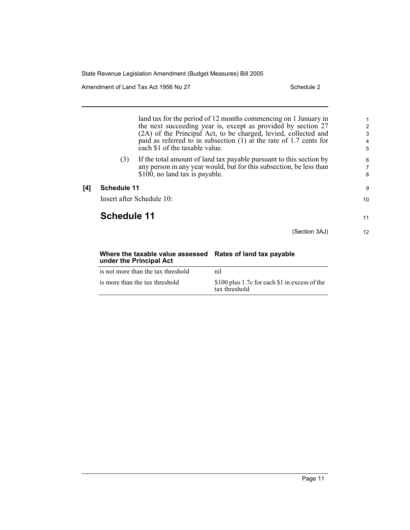Amendment of Land Tax Act 1956 No 27 Schedule 2

land tax for the period of 12 months commencing on 1 January in the next succeeding year is, except as provided by section 27 (2A) of the Principal Act, to be charged, levied, collected and paid as referred to in subsection (1) at the rate of 1.7 cents for each \$1 of the taxable value. (3) If the total amount of land tax payable pursuant to this section by any person in any year would, but for this subsection, be less than \$100, no land tax is payable. **[4] Schedule 11** Insert after Schedule 10: **Schedule 11** (Section 3AJ) 1 2 3 4 5 6 7 8 9 10 11 12

### **Where the taxable value assessed Rates of land tax payable under the Principal Act**

| is not more than the tax threshold | nil                                                            |
|------------------------------------|----------------------------------------------------------------|
| is more than the tax threshold     | \$100 plus 1.7c for each \$1 in excess of the<br>tax threshold |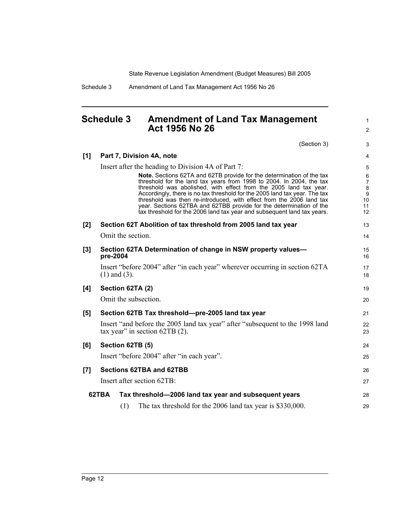1 2

Schedule 3 Amendment of Land Tax Management Act 1956 No 26

### **Schedule 3 Amendment of Land Tax Management Act 1956 No 26**

|       |          |                   | (Section 3)                                                                                                                                                                                                                                                                                                                                                                                                                                                                                                                       | 3                                                                    |
|-------|----------|-------------------|-----------------------------------------------------------------------------------------------------------------------------------------------------------------------------------------------------------------------------------------------------------------------------------------------------------------------------------------------------------------------------------------------------------------------------------------------------------------------------------------------------------------------------------|----------------------------------------------------------------------|
| [1]   |          |                   | Part 7, Division 4A, note                                                                                                                                                                                                                                                                                                                                                                                                                                                                                                         | $\overline{4}$                                                       |
|       |          |                   | Insert after the heading to Division 4A of Part 7:                                                                                                                                                                                                                                                                                                                                                                                                                                                                                | 5                                                                    |
|       |          |                   | <b>Note.</b> Sections 62TA and 62TB provide for the determination of the tax<br>threshold for the land tax years from 1998 to 2004. In 2004, the tax<br>threshold was abolished, with effect from the 2005 land tax year.<br>Accordingly, there is no tax threshold for the 2005 land tax year. The tax<br>threshold was then re-introduced, with effect from the 2006 land tax<br>year. Sections 62TBA and 62TBB provide for the determination of the<br>tax threshold for the 2006 land tax year and subsequent land tax years. | 6<br>$\overline{7}$<br>$\bf 8$<br>$\boldsymbol{9}$<br>10<br>11<br>12 |
| $[2]$ |          |                   | Section 62T Abolition of tax threshold from 2005 land tax year                                                                                                                                                                                                                                                                                                                                                                                                                                                                    | 13                                                                   |
|       |          |                   | Omit the section.                                                                                                                                                                                                                                                                                                                                                                                                                                                                                                                 | 14                                                                   |
| $[3]$ | pre-2004 |                   | Section 62TA Determination of change in NSW property values-                                                                                                                                                                                                                                                                                                                                                                                                                                                                      | 15<br>16                                                             |
|       |          | $(1)$ and $(3)$ . | Insert "before 2004" after "in each year" wherever occurring in section 62TA                                                                                                                                                                                                                                                                                                                                                                                                                                                      | 17<br>18                                                             |
| [4]   |          |                   | Section 62TA (2)                                                                                                                                                                                                                                                                                                                                                                                                                                                                                                                  | 19                                                                   |
|       |          |                   | Omit the subsection.                                                                                                                                                                                                                                                                                                                                                                                                                                                                                                              | 20                                                                   |
| [5]   |          |                   | Section 62TB Tax threshold-pre-2005 land tax year                                                                                                                                                                                                                                                                                                                                                                                                                                                                                 | 21                                                                   |
|       |          |                   | Insert "and before the 2005 land tax year" after "subsequent to the 1998 land<br>tax year" in section $62TB(2)$ .                                                                                                                                                                                                                                                                                                                                                                                                                 | 22<br>23                                                             |
| [6]   |          |                   | Section 62TB (5)                                                                                                                                                                                                                                                                                                                                                                                                                                                                                                                  | 24                                                                   |
|       |          |                   | Insert "before 2004" after "in each year".                                                                                                                                                                                                                                                                                                                                                                                                                                                                                        | 25                                                                   |
| $[7]$ |          |                   | <b>Sections 62TBA and 62TBB</b>                                                                                                                                                                                                                                                                                                                                                                                                                                                                                                   | 26                                                                   |
|       |          |                   | Insert after section 62TB:                                                                                                                                                                                                                                                                                                                                                                                                                                                                                                        | 27                                                                   |
|       | 62TBA    |                   | Tax threshold-2006 land tax year and subsequent years                                                                                                                                                                                                                                                                                                                                                                                                                                                                             | 28                                                                   |
|       |          | (1)               | The tax threshold for the 2006 land tax year is \$330,000.                                                                                                                                                                                                                                                                                                                                                                                                                                                                        | 29                                                                   |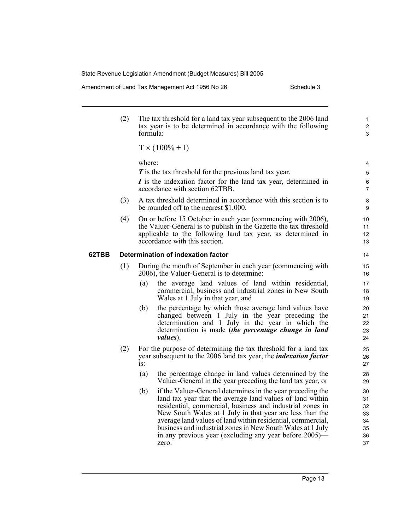Amendment of Land Tax Management Act 1956 No 26 Schedule 3

1 2 3

(2) The tax threshold for a land tax year subsequent to the 2006 land tax year is to be determined in accordance with the following formula:

 $T \times (100\% + I)$ 

where:

*T* is the tax threshold for the previous land tax year.

*I* is the indexation factor for the land tax year, determined in accordance with section 62TBB.

- (3) A tax threshold determined in accordance with this section is to be rounded off to the nearest \$1,000.
- (4) On or before 15 October in each year (commencing with 2006), the Valuer-General is to publish in the Gazette the tax threshold applicable to the following land tax year, as determined in accordance with this section.

#### **62TBB Determination of indexation factor**

- (1) During the month of September in each year (commencing with 2006), the Valuer-General is to determine:
	- (a) the average land values of land within residential, commercial, business and industrial zones in New South Wales at 1 July in that year, and
	- (b) the percentage by which those average land values have changed between 1 July in the year preceding the determination and 1 July in the year in which the determination is made (*the percentage change in land values*).
- (2) For the purpose of determining the tax threshold for a land tax year subsequent to the 2006 land tax year, the *indexation factor* is:
	- (a) the percentage change in land values determined by the Valuer-General in the year preceding the land tax year, or
	- (b) if the Valuer-General determines in the year preceding the land tax year that the average land values of land within residential, commercial, business and industrial zones in New South Wales at 1 July in that year are less than the average land values of land within residential, commercial, business and industrial zones in New South Wales at 1 July in any previous year (excluding any year before 2005) zero.